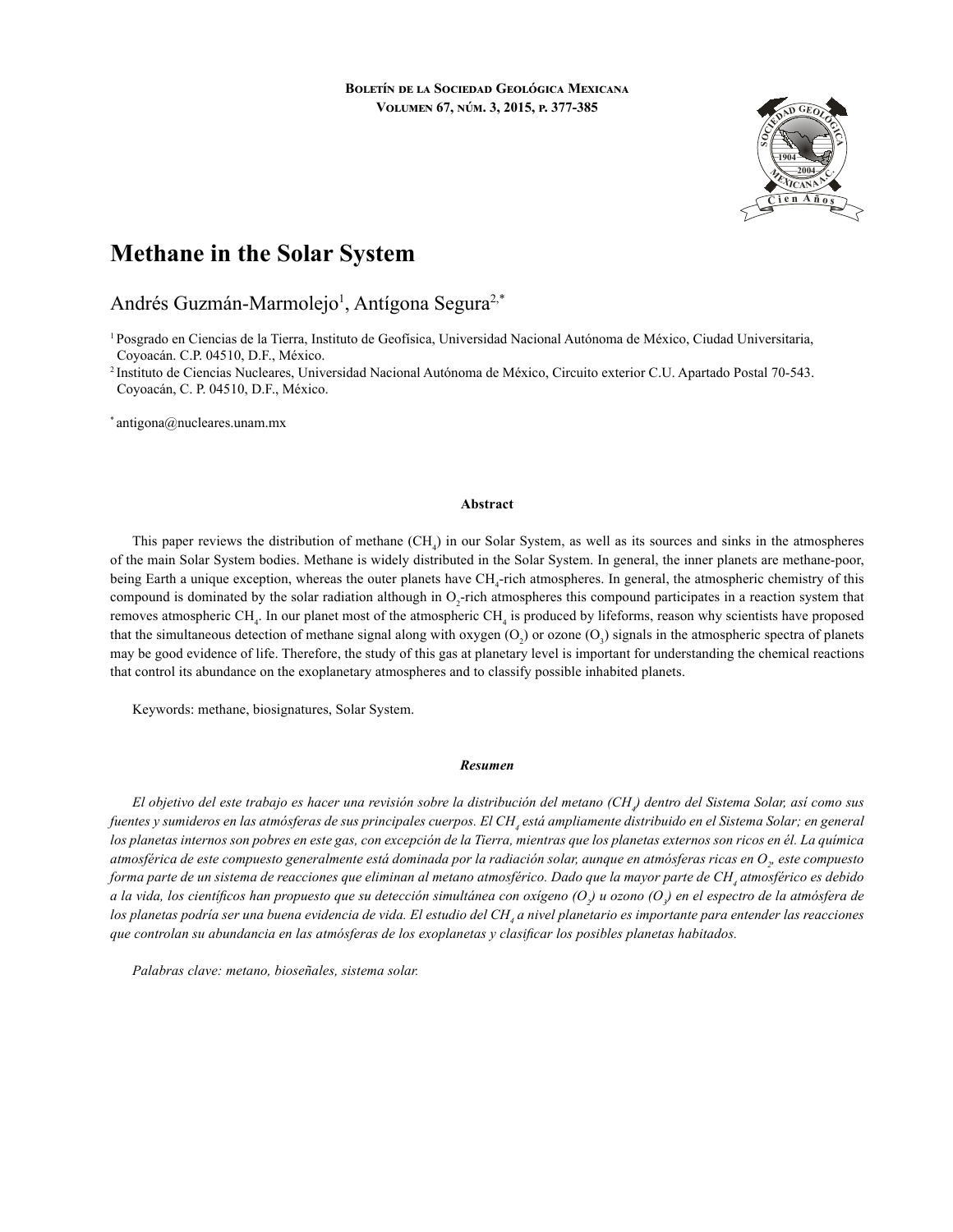

# **Methane in the Solar System**

# Andrés Guzmán-Marmolejo<sup>1</sup>, Antígona Segura<sup>2,\*</sup>

1 Posgrado en Ciencias de la Tierra, Instituto de Geofísica, Universidad Nacional Autónoma de México, Ciudad Universitaria, Coyoacán. C.P. 04510, D.F., México.

2 Instituto de Ciencias Nucleares, Universidad Nacional Autónoma de México, Circuito exterior C.U. Apartado Postal 70-543. Coyoacán, C. P. 04510, D.F., México.

\* antigona@nucleares.unam.mx

#### **Abstract**

This paper reviews the distribution of methane  $(CH_4)$  in our Solar System, as well as its sources and sinks in the atmospheres of the main Solar System bodies. Methane is widely distributed in the Solar System. In general, the inner planets are methane-poor, being Earth a unique exception, whereas the outer planets have CH<sub>4</sub>-rich atmospheres. In general, the atmospheric chemistry of this compound is dominated by the solar radiation although in  $O_2$ -rich atmospheres this compound participates in a reaction system that removes atmospheric CH<sub>4</sub>. In our planet most of the atmospheric CH<sub>4</sub> is produced by lifeforms, reason why scientists have proposed that the simultaneous detection of methane signal along with oxygen  $(O_2)$  or ozone  $(O_3)$  signals in the atmospheric spectra of planets may be good evidence of life. Therefore, the study of this gas at planetary level is important for understanding the chemical reactions that control its abundance on the exoplanetary atmospheres and to classify possible inhabited planets.

Keywords: methane, biosignatures, Solar System.

#### *Resumen*

*El objetivo del este trabajo es hacer una revisión sobre la distribución del metano (CH4 ) dentro del Sistema Solar, así como sus*  fuentes y sumideros en las atmósferas de sus principales cuerpos. El CH<sub>4</sub> está ampliamente distribuido en el Sistema Solar; en general *los planetas internos son pobres en este gas, con excepción de la Tierra, mientras que los planetas externos son ricos en él. La química*  atmosférica de este compuesto generalmente está dominada por la radiación solar, aunque en atmósferas ricas en O<sub>2</sub>, este compuesto forma parte de un sistema de reacciones que eliminan al metano atmosférico. Dado que la mayor parte de CH<sub>4</sub> atmosférico es debido *a la vida, los científicos han propuesto que su detección simultánea con oxígeno (O<sup>2</sup> ) u ozono (O3 ) en el espectro de la atmósfera de*  los planetas podría ser una buena evidencia de vida. El estudio del CH<sub>4</sub> a nivel planetario es importante para entender las reacciones *que controlan su abundancia en las atmósferas de los exoplanetas y clasificar los posibles planetas habitados.*

*Palabras clave: metano, bioseñales, sistema solar.*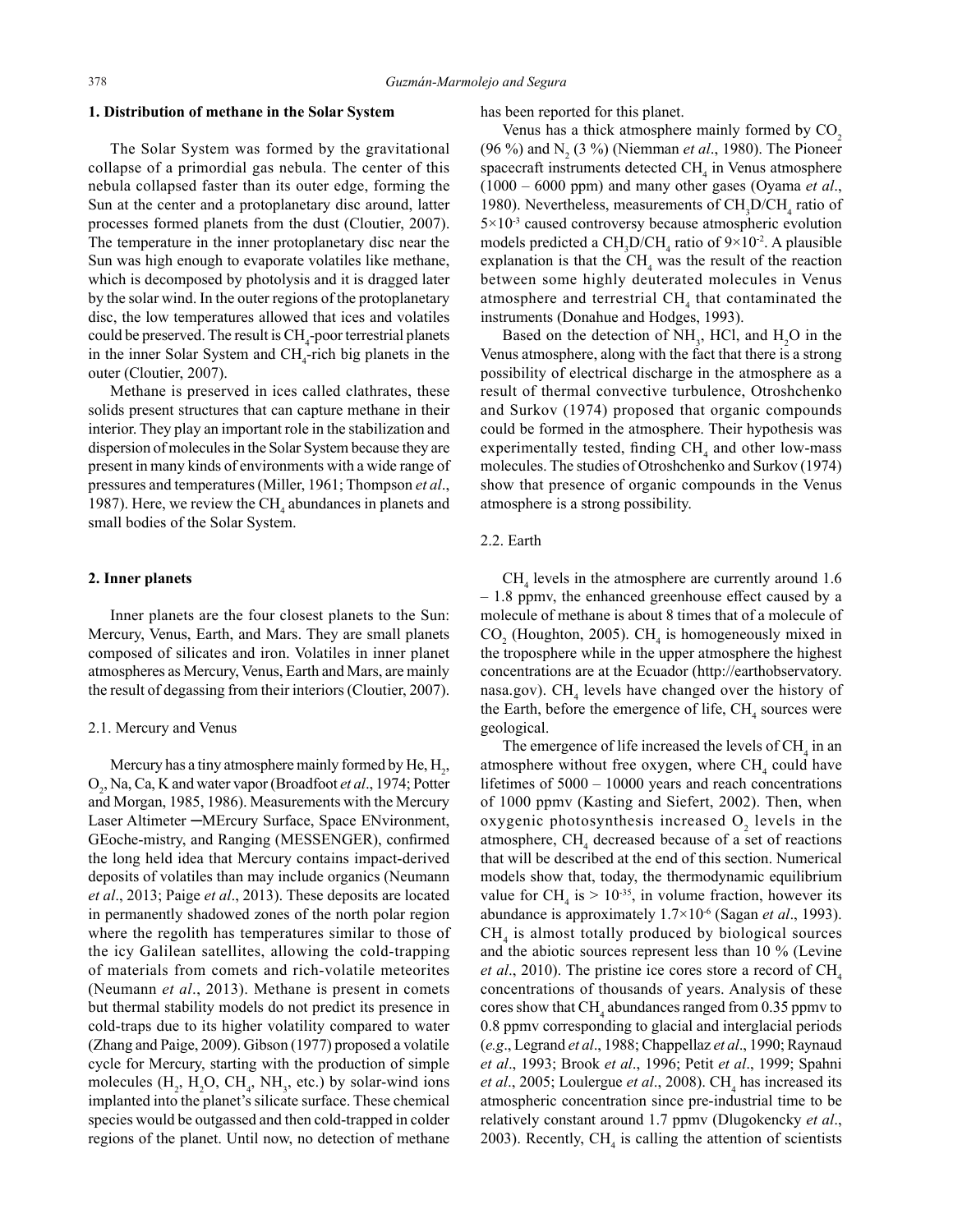# **1. Distribution of methane in the Solar System**

The Solar System was formed by the gravitational collapse of a primordial gas nebula. The center of this nebula collapsed faster than its outer edge, forming the Sun at the center and a protoplanetary disc around, latter processes formed planets from the dust (Cloutier, 2007). The temperature in the inner protoplanetary disc near the Sun was high enough to evaporate volatiles like methane, which is decomposed by photolysis and it is dragged later by the solar wind. In the outer regions of the protoplanetary disc, the low temperatures allowed that ices and volatiles could be preserved. The result is CH<sub>4</sub>-poor terrestrial planets in the inner Solar System and  $\text{CH}_4$ -rich big planets in the outer (Cloutier, 2007).

Methane is preserved in ices called clathrates, these solids present structures that can capture methane in their interior. They play an important role in the stabilization and dispersion of molecules in the Solar System because they are present in many kinds of environments with a wide range of pressures and temperatures (Miller, 1961; Thompson *et al*., 1987). Here, we review the  $CH<sub>4</sub>$  abundances in planets and small bodies of the Solar System.

#### **2. Inner planets**

Inner planets are the four closest planets to the Sun: Mercury, Venus, Earth, and Mars. They are small planets composed of silicates and iron. Volatiles in inner planet atmospheres as Mercury, Venus, Earth and Mars, are mainly the result of degassing from their interiors (Cloutier, 2007).

### 2.1. Mercury and Venus

Mercury has a tiny atmosphere mainly formed by He,  $H_2$ , O2 , Na, Ca, K and water vapor (Broadfoot *et al*., 1974; Potter and Morgan, 1985, 1986). Measurements with the Mercury Laser Altimeter ─MErcury Surface, Space ENvironment, GEoche-mistry, and Ranging (MESSENGER), confirmed the long held idea that Mercury contains impact-derived deposits of volatiles than may include organics (Neumann *et al*., 2013; Paige *et al*., 2013). These deposits are located in permanently shadowed zones of the north polar region where the regolith has temperatures similar to those of the icy Galilean satellites, allowing the cold-trapping of materials from comets and rich-volatile meteorites (Neumann *et al*., 2013). Methane is present in comets but thermal stability models do not predict its presence in cold-traps due to its higher volatility compared to water (Zhang and Paige, 2009). Gibson (1977) proposed a volatile cycle for Mercury, starting with the production of simple molecules  $(H_2, H_2O, CH_4, NH_3, etc.)$  by solar-wind ions implanted into the planet's silicate surface. These chemical species would be outgassed and then cold-trapped in colder regions of the planet. Until now, no detection of methane

has been reported for this planet.

Venus has a thick atmosphere mainly formed by  $CO<sub>2</sub>$ (96 %) and N<sub>2</sub> (3 %) (Niemman *et al.*, 1980). The Pioneer spacecraft instruments detected  $\text{CH}_4$  in Venus atmosphere (1000 – 6000 ppm) and many other gases (Oyama *et al*., 1980). Nevertheless, measurements of  $CH_3D/CH_4$  ratio of  $5 \times 10^{-3}$  caused controversy because atmospheric evolution models predicted a  $CH_3D/CH_4$  ratio of  $9 \times 10^{-2}$ . A plausible explanation is that the  $CH_4$  was the result of the reaction between some highly deuterated molecules in Venus atmosphere and terrestrial  $\text{CH}_4$  that contaminated the instruments (Donahue and Hodges, 1993).

Based on the detection of  $NH_3$ , HCl, and  $H_2O$  in the Venus atmosphere, along with the fact that there is a strong possibility of electrical discharge in the atmosphere as a result of thermal convective turbulence, Otroshchenko and Surkov (1974) proposed that organic compounds could be formed in the atmosphere. Their hypothesis was experimentally tested, finding  $CH<sub>4</sub>$  and other low-mass molecules. The studies of Otroshchenko and Surkov (1974) show that presence of organic compounds in the Venus atmosphere is a strong possibility.

# 2.2. Earth

 $CH<sub>4</sub>$  levels in the atmosphere are currently around 1.6 – 1.8 ppmv, the enhanced greenhouse effect caused by a molecule of methane is about 8 times that of a molecule of  $CO<sub>2</sub>$  (Houghton, 2005). CH<sub>4</sub> is homogeneously mixed in the troposphere while in the upper atmosphere the highest concentrations are at the Ecuador (http://earthobservatory. nasa.gov).  $\text{CH}_4$  levels have changed over the history of the Earth, before the emergence of life,  $\text{CH}_4$  sources were geological.

The emergence of life increased the levels of  $\text{CH}_4$  in an atmosphere without free oxygen, where  $\text{CH}_4$  could have lifetimes of 5000 – 10000 years and reach concentrations of 1000 ppmv (Kasting and Siefert, 2002). Then, when oxygenic photosynthesis increased  $O_2$  levels in the atmosphere, CH<sub>4</sub> decreased because of a set of reactions that will be described at the end of this section. Numerical models show that, today, the thermodynamic equilibrium value for CH<sub>4</sub> is  $> 10^{-35}$ , in volume fraction, however its abundance is approximately 1.7×10-6 (Sagan *et al*., 1993).  $CH<sub>4</sub>$  is almost totally produced by biological sources and the abiotic sources represent less than 10 % (Levine *et al.*, 2010). The pristine ice cores store a record of  $CH<sub>4</sub>$ concentrations of thousands of years. Analysis of these cores show that  $\mathrm{CH}_4$  abundances ranged from 0.35 ppmv to 0.8 ppmv corresponding to glacial and interglacial periods (*e.g*., Legrand *et al*., 1988; Chappellaz *et al*., 1990; Raynaud *et al*., 1993; Brook *et al*., 1996; Petit *et al*., 1999; Spahni *et al.*, 2005; Loulergue *et al.*, 2008). CH<sub>4</sub> has increased its atmospheric concentration since pre-industrial time to be relatively constant around 1.7 ppmv (Dlugokencky *et al*., 2003). Recently,  $CH<sub>4</sub>$  is calling the attention of scientists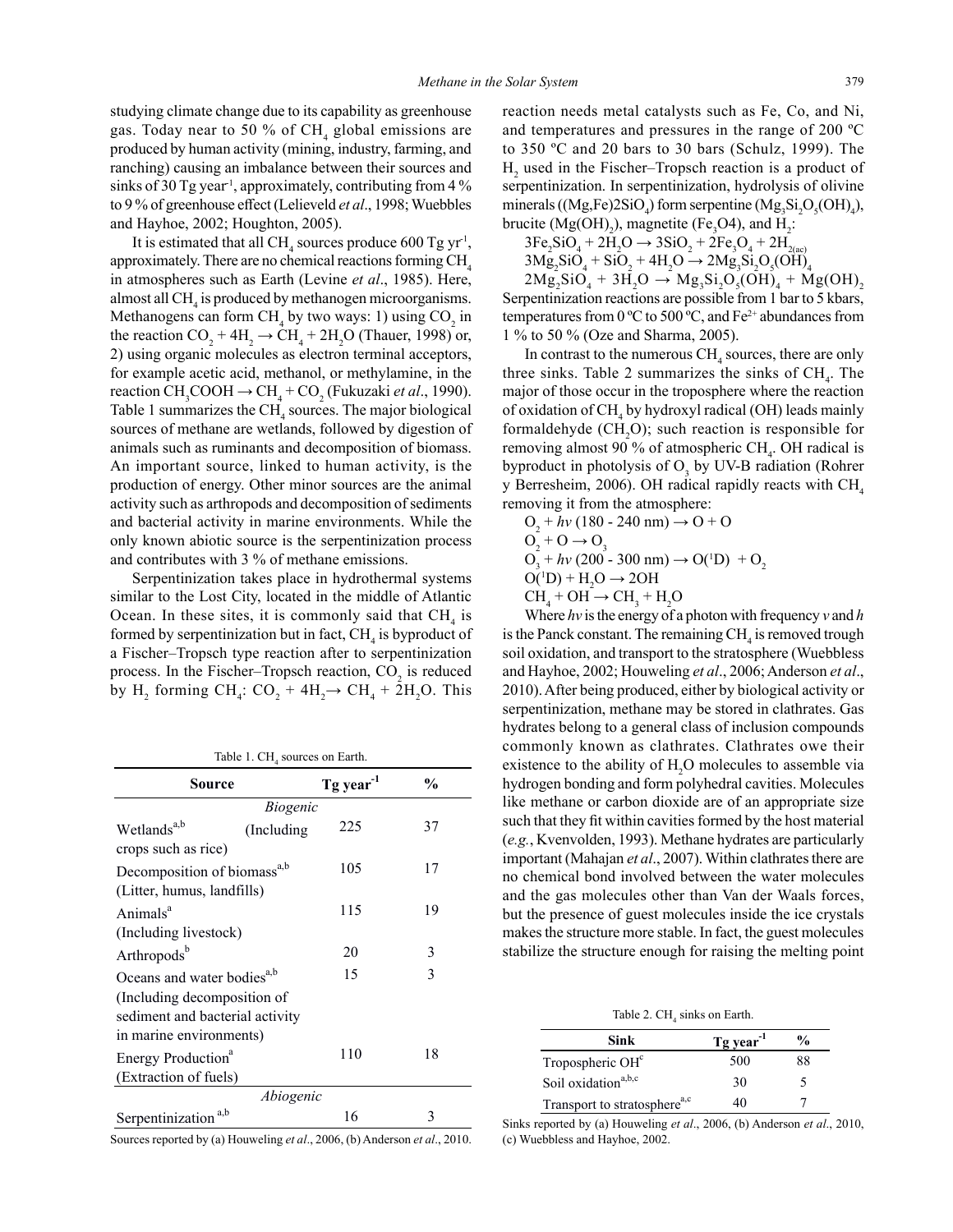studying climate change due to its capability as greenhouse gas. Today near to 50 % of  $\text{CH}_4$  global emissions are produced by human activity (mining, industry, farming, and ranching) causing an imbalance between their sources and sinks of 30 Tg year<sup>1</sup>, approximately, contributing from 4 % to 9 % of greenhouse effect (Lelieveld *et al*., 1998; Wuebbles and Hayhoe, 2002; Houghton, 2005).

It is estimated that all CH<sub>4</sub> sources produce 600 Tg yr<sup>-1</sup>, approximately. There are no chemical reactions forming  $CH<sub>4</sub>$ in atmospheres such as Earth (Levine *et al*., 1985). Here, almost all CH<sub>4</sub> is produced by methanogen microorganisms. Methanogens can form  $CH_4$  by two ways: 1) using  $CO_2$  in the reaction  $CO_2 + 4H_2 \rightarrow CH_4 + 2H_2O$  (Thauer, 1998) or, 2) using organic molecules as electron terminal acceptors, for example acetic acid, methanol, or methylamine, in the reaction  $\text{CH}_3\text{COOH} \rightarrow \text{CH}_4 + \text{CO}_2$  (Fukuzaki *et al.*, 1990). Table 1 summarizes the  $CH<sub>4</sub>$  sources. The major biological sources of methane are wetlands, followed by digestion of animals such as ruminants and decomposition of biomass. An important source, linked to human activity, is the production of energy. Other minor sources are the animal activity such as arthropods and decomposition of sediments and bacterial activity in marine environments. While the only known abiotic source is the serpentinization process and contributes with 3 % of methane emissions.

Serpentinization takes place in hydrothermal systems similar to the Lost City, located in the middle of Atlantic Ocean. In these sites, it is commonly said that  $CH<sub>4</sub>$  is formed by serpentinization but in fact,  $\text{CH}_4$  is byproduct of a Fischer–Tropsch type reaction after to serpentinization process. In the Fischer-Tropsch reaction,  $CO_2$  is reduced by H<sub>2</sub> forming CH<sub>4</sub>: CO<sub>2</sub> + 4H<sub>2</sub> $\rightarrow$  CH<sub>4</sub> + 2H<sub>2</sub>O. This

Table 1.  $\text{CH}_4$  sources on Earth.

| Source                                  |             | Tg year <sup>-1</sup> | $\frac{0}{0}$ |  |  |
|-----------------------------------------|-------------|-----------------------|---------------|--|--|
| <i>Biogenic</i>                         |             |                       |               |  |  |
| Wetlands <sup>a,b</sup>                 | (Including) | 225                   | 37            |  |  |
| crops such as rice)                     |             |                       |               |  |  |
| Decomposition of biomass <sup>a,b</sup> |             | 105                   | 17            |  |  |
| (Litter, humus, landfills)              |             |                       |               |  |  |
| Animals <sup>a</sup>                    |             | 115                   | 19            |  |  |
| (Including livestock)                   |             |                       |               |  |  |
| Arthropods <sup>b</sup>                 |             | 20                    | 3             |  |  |
| Oceans and water bodies <sup>a,b</sup>  |             | 15                    | 3             |  |  |
| (Including decomposition of             |             |                       |               |  |  |
| sediment and bacterial activity         |             |                       |               |  |  |
| in marine environments)                 |             |                       |               |  |  |
| Energy Production <sup>a</sup>          |             | 110                   | 18            |  |  |
| (Extraction of fuels)                   |             |                       |               |  |  |
| Abiogenic                               |             |                       |               |  |  |
| a,b<br>Serpentinization                 |             | 16                    | 3             |  |  |

Sources reported by (a) Houweling *et al*., 2006, (b) Anderson *et al*., 2010.

reaction needs metal catalysts such as Fe, Co, and Ni, and temperatures and pressures in the range of 200 ºC to 350 ºC and 20 bars to 30 bars (Schulz, 1999). The  $H<sub>2</sub>$  used in the Fischer–Tropsch reaction is a product of serpentinization. In serpentinization, hydrolysis of olivine minerals ((Mg,Fe)2SiO<sub>4</sub>) form serpentine (Mg<sub>3</sub>Si<sub>2</sub>O<sub>5</sub>(OH)<sub>4</sub>), brucite  $(Mg(OH)_2)$ , magnetite (Fe<sub>3</sub>O4), and H<sub>2</sub>:

 $3Fe_2SiO_4 + 2H_2O \rightarrow 3SiO_2 + 2Fe_3O_4 + 2H_{2(ac)}$ 

$$
3\text{Mg}_2\text{SiO}_4 + \text{SiO}_2 + 4\text{H}_2\text{O} \rightarrow 2\text{Mg}_3\text{Si}_2\text{O}_5(\text{OH})_4
$$

 $2\text{Mg}_2\text{SiO}_4 + 3\text{H}_2\text{O} \rightarrow \text{Mg}_3\text{Si}_2\text{O}_5(\text{OH})_4 + \text{Mg}(\text{OH})_2$ Serpentinization reactions are possible from 1 bar to 5 kbars, temperatures from 0 °C to 500 °C, and  $Fe^{2+}$  abundances from 1 % to 50 % (Oze and Sharma, 2005).

In contrast to the numerous  $\text{CH}_4$  sources, there are only three sinks. Table 2 summarizes the sinks of  $\text{CH}_4$ . The major of those occur in the troposphere where the reaction of oxidation of  $\text{CH}_4$  by hydroxyl radical (OH) leads mainly formaldehyde  $(CH_2O)$ ; such reaction is responsible for removing almost 90 % of atmospheric  $\text{CH}_4$ . OH radical is byproduct in photolysis of  $O<sub>3</sub>$  by UV-B radiation (Rohrer y Berresheim, 2006). OH radical rapidly reacts with  $CH<sub>4</sub>$ removing it from the atmosphere:

O2 + *hv* (180 - 240 nm) → O + O O2 + O → O<sup>3</sup> O3 + *hv* (200 - 300 nm) → O(<sup>1</sup> D) + O2 O(1 D) + H2 O → 2OH CH4 + OH → CH<sup>3</sup> + H2 O

Where *hv* is the energy of a photon with frequency *v* and *h* is the Panck constant. The remaining  $\text{CH}_4^{}$  is removed trough soil oxidation, and transport to the stratosphere (Wuebbless and Hayhoe, 2002; Houweling *et al*., 2006; Anderson *et al*., 2010). After being produced, either by biological activity or serpentinization, methane may be stored in clathrates. Gas hydrates belong to a general class of inclusion compounds commonly known as clathrates. Clathrates owe their existence to the ability of  $H_2O$  molecules to assemble via hydrogen bonding and form polyhedral cavities. Molecules like methane or carbon dioxide are of an appropriate size such that they fit within cavities formed by the host material (*e.g.*, Kvenvolden, 1993). Methane hydrates are particularly important (Mahajan *et al*., 2007). Within clathrates there are no chemical bond involved between the water molecules and the gas molecules other than Van der Waals forces, but the presence of guest molecules inside the ice crystals makes the structure more stable. In fact, the guest molecules stabilize the structure enough for raising the melting point

Table 2.  $CH<sub>4</sub>$  sinks on Earth.

| Sink                                     | $Tg \, year^{-1}$ | $\frac{0}{0}$ |
|------------------------------------------|-------------------|---------------|
| Tropospheric OH <sup>c</sup>             | 500               | 88            |
| Soil oxidation <sup>a,b,c</sup>          | 30                |               |
| Transport to stratosphere <sup>a,c</sup> | 40                |               |

Sinks reported by (a) Houweling *et al*., 2006, (b) Anderson *et al*., 2010, (c) Wuebbless and Hayhoe, 2002.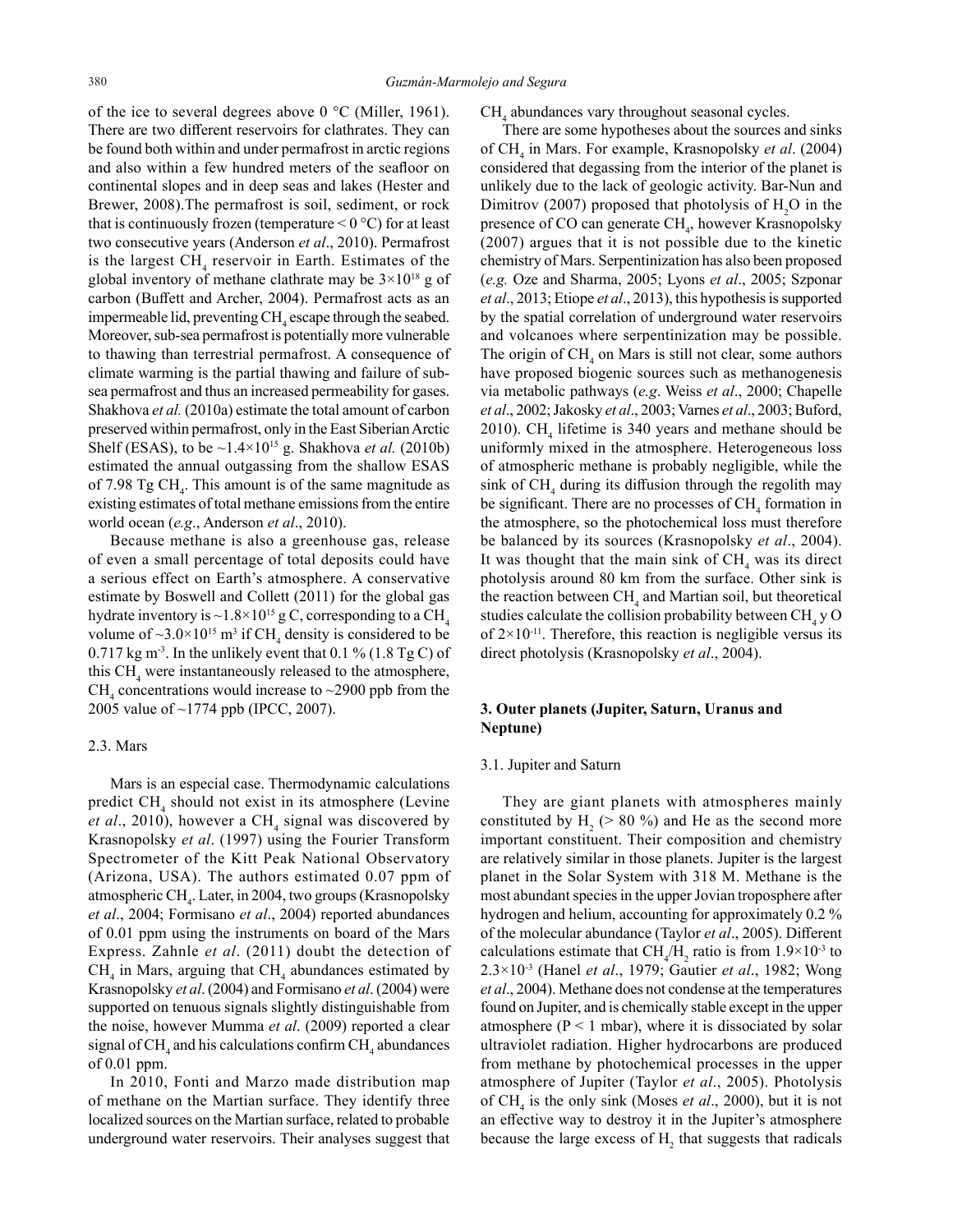of the ice to several degrees above 0 °C (Miller, 1961). There are two different reservoirs for clathrates. They can be found both within and under permafrost in arctic regions and also within a few hundred meters of the seafloor on continental slopes and in deep seas and lakes (Hester and Brewer, 2008).The permafrost is soil, sediment, or rock that is continuously frozen (temperature  $\leq 0$  °C) for at least two consecutive years (Anderson *et al*., 2010). Permafrost is the largest CH<sub>4</sub> reservoir in Earth. Estimates of the global inventory of methane clathrate may be  $3 \times 10^{18}$  g of carbon (Buffett and Archer, 2004). Permafrost acts as an impermeable lid, preventing  $\text{CH}_4$  escape through the seabed. Moreover, sub-sea permafrost is potentially more vulnerable to thawing than terrestrial permafrost. A consequence of climate warming is the partial thawing and failure of subsea permafrost and thus an increased permeability for gases. Shakhova *et al.* (2010a) estimate the total amount of carbon preserved within permafrost, only in the East Siberian Arctic Shelf (ESAS), to be  $\sim$ 1.4×10<sup>15</sup> g. Shakhova *et al.* (2010b) estimated the annual outgassing from the shallow ESAS of 7.98 Tg  $CH<sub>4</sub>$ . This amount is of the same magnitude as existing estimates of total methane emissions from the entire world ocean (*e.g*., Anderson *et al*., 2010).

Because methane is also a greenhouse gas, release of even a small percentage of total deposits could have a serious effect on Earth's atmosphere. A conservative estimate by Boswell and Collett (2011) for the global gas hydrate inventory is ~1.8×10<sup>15</sup> g C, corresponding to a CH<sub>4</sub> volume of  $\sim$ 3.0 $\times$ 10<sup>15</sup> m<sup>3</sup> if CH<sub>4</sub> density is considered to be 0.717 kg m<sup>-3</sup>. In the unlikely event that 0.1 % (1.8 Tg C) of this  $CH<sub>4</sub>$  were instantaneously released to the atmosphere, CH<sub>4</sub> concentrations would increase to  $\sim$  2900 ppb from the 2005 value of ~1774 ppb (IPCC, 2007).

#### 2.3. Mars

Mars is an especial case. Thermodynamic calculations predict CH<sub>4</sub> should not exist in its atmosphere (Levine et al., 2010), however a CH<sub>4</sub> signal was discovered by Krasnopolsky *et al*. (1997) using the Fourier Transform Spectrometer of the Kitt Peak National Observatory (Arizona, USA). The authors estimated 0.07 ppm of atmospheric CH<sub>4</sub>. Later, in 2004, two groups (Krasnopolsky *et al*., 2004; Formisano *et al*., 2004) reported abundances of 0.01 ppm using the instruments on board of the Mars Express. Zahnle *et al*. (2011) doubt the detection of  $CH<sub>4</sub>$  in Mars, arguing that  $CH<sub>4</sub>$  abundances estimated by Krasnopolsky *et al*. (2004) and Formisano *et al*. (2004) were supported on tenuous signals slightly distinguishable from the noise, however Mumma *et al*. (2009) reported a clear signal of CH<sub>4</sub> and his calculations confirm CH<sub>4</sub> abundances of 0.01 ppm.

In 2010, Fonti and Marzo made distribution map of methane on the Martian surface. They identify three localized sources on the Martian surface, related to probable underground water reservoirs. Their analyses suggest that  $CH<sub>4</sub>$  abundances vary throughout seasonal cycles.

There are some hypotheses about the sources and sinks of CH4 in Mars. For example, Krasnopolsky *et al*. (2004) considered that degassing from the interior of the planet is unlikely due to the lack of geologic activity. Bar-Nun and Dimitrov (2007) proposed that photolysis of  $H_2O$  in the presence of CO can generate  $\text{CH}_4$ , however Krasnopolsky (2007) argues that it is not possible due to the kinetic chemistry of Mars. Serpentinization has also been proposed (*e.g.* Oze and Sharma, 2005; Lyons *et al*., 2005; Szponar *et al*., 2013; Etiope *et al*., 2013), this hypothesis is supported by the spatial correlation of underground water reservoirs and volcanoes where serpentinization may be possible. The origin of  $CH_4$  on Mars is still not clear, some authors have proposed biogenic sources such as methanogenesis via metabolic pathways (*e.g*. Weiss *et al*., 2000; Chapelle *et al*., 2002; Jakosky *et al*., 2003; Varnes *et al*., 2003; Buford, 2010).  $CH<sub>4</sub>$  lifetime is 340 years and methane should be uniformly mixed in the atmosphere. Heterogeneous loss of atmospheric methane is probably negligible, while the sink of  $CH_4$  during its diffusion through the regolith may be significant. There are no processes of  $\mathrm{CH}_4$  formation in the atmosphere, so the photochemical loss must therefore be balanced by its sources (Krasnopolsky *et al*., 2004). It was thought that the main sink of  $CH<sub>4</sub>$  was its direct photolysis around 80 km from the surface. Other sink is the reaction between  $\text{CH}_4$  and Martian soil, but theoretical studies calculate the collision probability between CH<sub>4</sub> y O of  $2 \times 10^{-11}$ . Therefore, this reaction is negligible versus its direct photolysis (Krasnopolsky *et al*., 2004).

# **3. Outer planets (Jupiter, Saturn, Uranus and Neptune)**

#### 3.1. Jupiter and Saturn

They are giant planets with atmospheres mainly constituted by  $H_2$  (> 80 %) and He as the second more important constituent. Their composition and chemistry are relatively similar in those planets. Jupiter is the largest planet in the Solar System with 318 M. Methane is the most abundant species in the upper Jovian troposphere after hydrogen and helium, accounting for approximately 0.2 % of the molecular abundance (Taylor *et al*., 2005). Different calculations estimate that  $CH_4/H_2$  ratio is from  $1.9 \times 10^{-3}$  to 2.3×10-3 (Hanel *et al*., 1979; Gautier *et al*., 1982; Wong *et al*., 2004). Methane does not condense at the temperatures found on Jupiter, and is chemically stable except in the upper atmosphere ( $P < 1$  mbar), where it is dissociated by solar ultraviolet radiation. Higher hydrocarbons are produced from methane by photochemical processes in the upper atmosphere of Jupiter (Taylor *et al*., 2005). Photolysis of CH<sub>4</sub> is the only sink (Moses *et al.*, 2000), but it is not an effective way to destroy it in the Jupiter's atmosphere because the large excess of  $H_2$  that suggests that radicals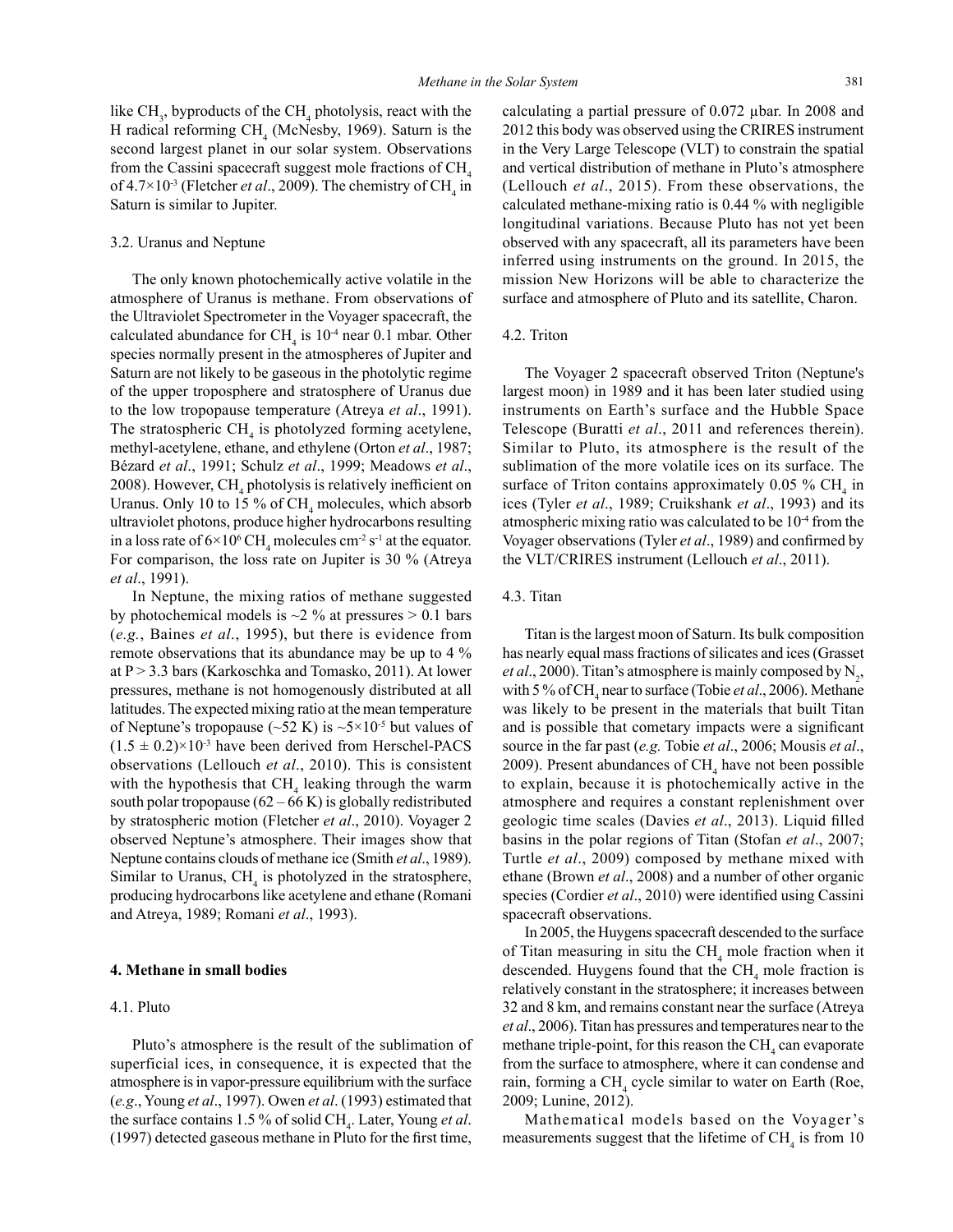like  $CH_3$ , byproducts of the CH<sub>4</sub> photolysis, react with the H radical reforming  $CH_4$  (McNesby, 1969). Saturn is the second largest planet in our solar system. Observations from the Cassini spacecraft suggest mole fractions of  $CH<sub>4</sub>$ of  $4.7 \times 10^{-3}$  (Fletcher *et al.*, 2009). The chemistry of CH<sub>4</sub> in Saturn is similar to Jupiter.

#### 3.2. Uranus and Neptune

The only known photochemically active volatile in the atmosphere of Uranus is methane. From observations of the Ultraviolet Spectrometer in the Voyager spacecraft, the calculated abundance for  $CH_4$  is  $10^4$  near 0.1 mbar. Other species normally present in the atmospheres of Jupiter and Saturn are not likely to be gaseous in the photolytic regime of the upper troposphere and stratosphere of Uranus due to the low tropopause temperature (Atreya *et al*., 1991). The stratospheric  $CH<sub>4</sub>$  is photolyzed forming acetylene, methyl-acetylene, ethane, and ethylene (Orton *et al*., 1987; Bézard *et al*., 1991; Schulz *et al*., 1999; Meadows *et al*., 2008). However, CH<sub>4</sub> photolysis is relatively inefficient on Uranus. Only 10 to 15  $\%$  of CH<sub>4</sub> molecules, which absorb ultraviolet photons, produce higher hydrocarbons resulting in a loss rate of  $6 \times 10^6$  CH<sub>4</sub> molecules cm<sup>-2</sup> s<sup>-1</sup> at the equator. For comparison, the loss rate on Jupiter is 30 % (Atreya *et al*., 1991).

In Neptune, the mixing ratios of methane suggested by photochemical models is  $\sim$ 2 % at pressures > 0.1 bars (*e.g.*, Baines *et al*., 1995), but there is evidence from remote observations that its abundance may be up to 4 % at P > 3.3 bars (Karkoschka and Tomasko, 2011). At lower pressures, methane is not homogenously distributed at all latitudes. The expected mixing ratio at the mean temperature of Neptune's tropopause ( $\sim$ 52 K) is  $\sim$ 5×10<sup>-5</sup> but values of  $(1.5 \pm 0.2) \times 10^{-3}$  have been derived from Herschel-PACS observations (Lellouch *et al*., 2010). This is consistent with the hypothesis that  $CH<sub>4</sub>$  leaking through the warm south polar tropopause  $(62 - 66 \text{ K})$  is globally redistributed by stratospheric motion (Fletcher *et al*., 2010). Voyager 2 observed Neptune's atmosphere. Their images show that Neptune contains clouds of methane ice (Smith *et al*., 1989). Similar to Uranus,  $CH<sub>4</sub>$  is photolyzed in the stratosphere, producing hydrocarbons like acetylene and ethane (Romani and Atreya, 1989; Romani *et al*., 1993).

# **4. Methane in small bodies**

#### 4.1. Pluto

Pluto's atmosphere is the result of the sublimation of superficial ices, in consequence, it is expected that the atmosphere is in vapor-pressure equilibrium with the surface (*e.g*., Young *et al*., 1997). Owen *et al*. (1993) estimated that the surface contains 1.5 % of solid CH<sub>4</sub>. Later, Young *et al*. (1997) detected gaseous methane in Pluto for the first time,

calculating a partial pressure of 0.072 µbar. In 2008 and 2012 this body was observed using the CRIRES instrument in the Very Large Telescope (VLT) to constrain the spatial and vertical distribution of methane in Pluto's atmosphere (Lellouch *et al*., 2015). From these observations, the calculated methane-mixing ratio is 0.44 % with negligible longitudinal variations. Because Pluto has not yet been observed with any spacecraft, all its parameters have been inferred using instruments on the ground. In 2015, the mission New Horizons will be able to characterize the surface and atmosphere of Pluto and its satellite, Charon.

#### 4.2. Triton

The Voyager 2 spacecraft observed Triton (Neptune's largest moon) in 1989 and it has been later studied using instruments on Earth's surface and the Hubble Space Telescope (Buratti *et al*., 2011 and references therein). Similar to Pluto, its atmosphere is the result of the sublimation of the more volatile ices on its surface. The surface of Triton contains approximately  $0.05 \%$  CH<sub>4</sub> in ices (Tyler *et al*., 1989; Cruikshank *et al*., 1993) and its atmospheric mixing ratio was calculated to be 10-4 from the Voyager observations (Tyler *et al*., 1989) and confirmed by the VLT/CRIRES instrument (Lellouch *et al*., 2011).

#### 4.3. Titan

Titan is the largest moon of Saturn. Its bulk composition has nearly equal mass fractions of silicates and ices (Grasset *et al.*, 2000). Titan's atmosphere is mainly composed by  $N_2$ , with 5 % of CH<sub>4</sub> near to surface (Tobie *et al.*, 2006). Methane was likely to be present in the materials that built Titan and is possible that cometary impacts were a significant source in the far past (*e.g.* Tobie *et al*., 2006; Mousis *et al*., 2009). Present abundances of  $CH_4$  have not been possible to explain, because it is photochemically active in the atmosphere and requires a constant replenishment over geologic time scales (Davies *et al*., 2013). Liquid filled basins in the polar regions of Titan (Stofan *et al*., 2007; Turtle *et al*., 2009) composed by methane mixed with ethane (Brown *et al*., 2008) and a number of other organic species (Cordier *et al*., 2010) were identified using Cassini spacecraft observations.

In 2005, the Huygens spacecraft descended to the surface of Titan measuring in situ the  $\text{CH}_4$  mole fraction when it descended. Huygens found that the  $\text{CH}_4$  mole fraction is relatively constant in the stratosphere; it increases between 32 and 8 km, and remains constant near the surface (Atreya *et al*., 2006). Titan has pressures and temperatures near to the methane triple-point, for this reason the  $\mathrm{CH}_4$  can evaporate from the surface to atmosphere, where it can condense and rain, forming a CH<sub>4</sub> cycle similar to water on Earth (Roe, 2009; Lunine, 2012).

Mathematical models based on the Voyager's measurements suggest that the lifetime of  $\text{CH}_4$  is from 10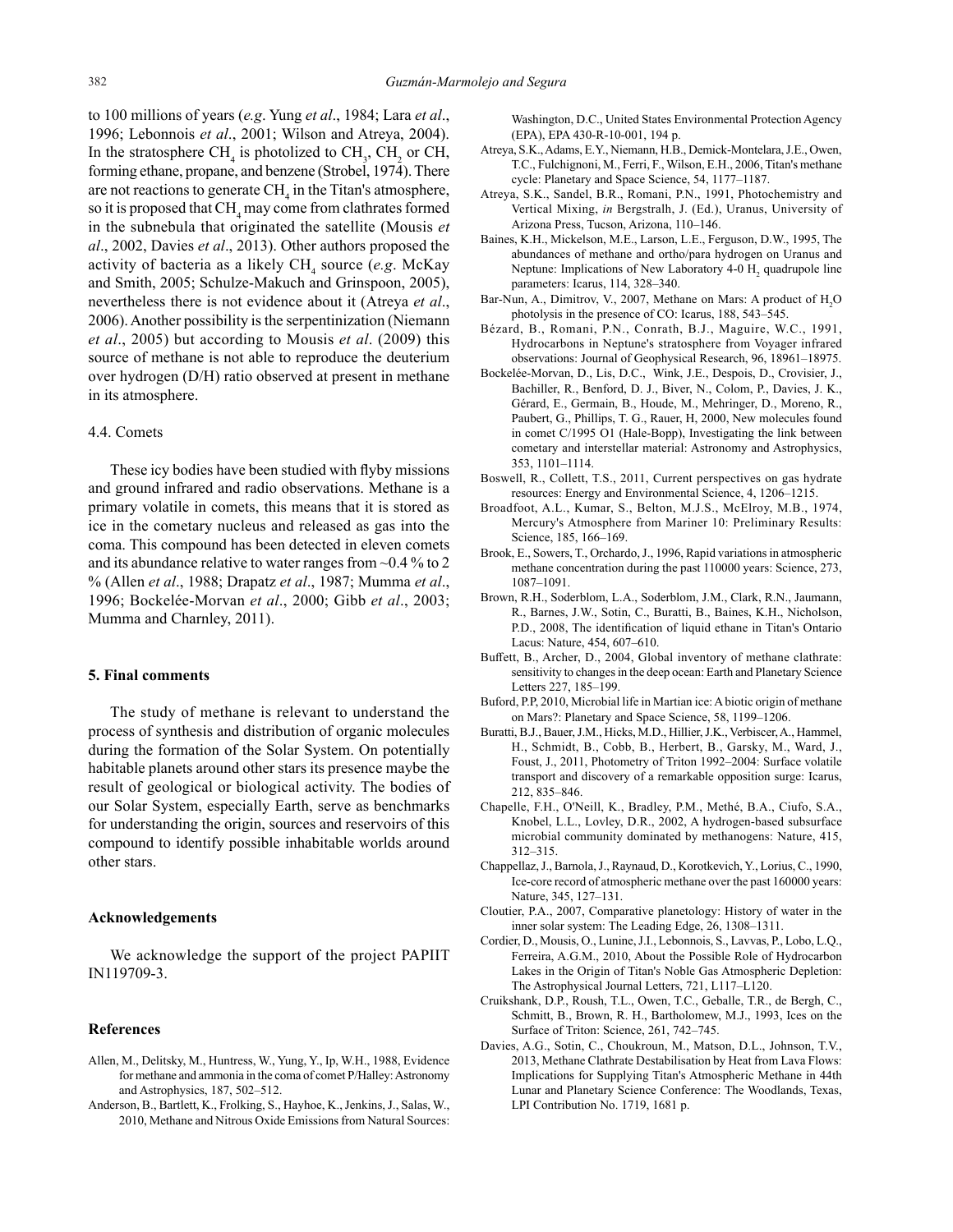to 100 millions of years (*e.g*. Yung *et al*., 1984; Lara *et al*., 1996; Lebonnois *et al*., 2001; Wilson and Atreya, 2004). In the stratosphere CH<sub>4</sub> is photolized to CH<sub>3</sub>, CH<sub>2</sub> or CH, forming ethane, propane, and benzene (Strobel, 1974). There are not reactions to generate  $\text{CH}_4$  in the Titan's atmosphere, so it is proposed that  $\mathrm{CH}_4$  may come from clathrates formed in the subnebula that originated the satellite (Mousis *et al*., 2002, Davies *et al*., 2013). Other authors proposed the activity of bacteria as a likely CH<sub>4</sub> source (*e.g.* McKay and Smith, 2005; Schulze-Makuch and Grinspoon, 2005), nevertheless there is not evidence about it (Atreya *et al*., 2006). Another possibility is the serpentinization (Niemann *et al*., 2005) but according to Mousis *et al*. (2009) this source of methane is not able to reproduce the deuterium over hydrogen (D/H) ratio observed at present in methane in its atmosphere.

# 4.4. Comets

These icy bodies have been studied with flyby missions and ground infrared and radio observations. Methane is a primary volatile in comets, this means that it is stored as ice in the cometary nucleus and released as gas into the coma. This compound has been detected in eleven comets and its abundance relative to water ranges from ~0.4 % to 2 % (Allen *et al*., 1988; Drapatz *et al*., 1987; Mumma *et al*., 1996; Bockelée-Morvan *et al*., 2000; Gibb *et al*., 2003; Mumma and Charnley, 2011).

## **5. Final comments**

The study of methane is relevant to understand the process of synthesis and distribution of organic molecules during the formation of the Solar System. On potentially habitable planets around other stars its presence maybe the result of geological or biological activity. The bodies of our Solar System, especially Earth, serve as benchmarks for understanding the origin, sources and reservoirs of this compound to identify possible inhabitable worlds around other stars.

#### **Acknowledgements**

We acknowledge the support of the project PAPIIT IN119709-3.

#### **References**

- Allen, M., Delitsky, M., Huntress, W., Yung, Y., Ip, W.H., 1988, Evidence for methane and ammonia in the coma of comet P/Halley: Astronomy and Astrophysics, 187, 502–512.
- Anderson, B., Bartlett, K., Frolking, S., Hayhoe, K., Jenkins, J., Salas, W., 2010, Methane and Nitrous Oxide Emissions from Natural Sources:

Washington, D.C., United States Environmental Protection Agency (EPA), EPA 430-R-10-001, 194 p.

- Atreya, S.K., Adams, E.Y., Niemann, H.B., Demick-Montelara, J.E., Owen, T.C., Fulchignoni, M., Ferri, F., Wilson, E.H., 2006, Titan's methane cycle: Planetary and Space Science, 54, 1177–1187.
- Atreya, S.K., Sandel, B.R., Romani, P.N., 1991, Photochemistry and Vertical Mixing, *in* Bergstralh, J. (Ed.), Uranus, University of Arizona Press, Tucson, Arizona, 110–146.
- Baines, K.H., Mickelson, M.E., Larson, L.E., Ferguson, D.W., 1995, The abundances of methane and ortho/para hydrogen on Uranus and Neptune: Implications of New Laboratory 4-0  $H_2$  quadrupole line parameters: Icarus, 114, 328–340.
- Bar-Nun, A., Dimitrov, V., 2007, Methane on Mars: A product of  $H_2O$ photolysis in the presence of CO: Icarus, 188, 543–545.
- Bézard, B., Romani, P.N., Conrath, B.J., Maguire, W.C., 1991, Hydrocarbons in Neptune's stratosphere from Voyager infrared observations: Journal of Geophysical Research, 96, 18961–18975.
- Bockelée-Morvan, D., Lis, D.C., Wink, J.E., Despois, D., Crovisier, J., Bachiller, R., Benford, D. J., Biver, N., Colom, P., Davies, J. K., Gérard, E., Germain, B., Houde, M., Mehringer, D., Moreno, R., Paubert, G., Phillips, T. G., Rauer, H, 2000, New molecules found in comet C/1995 O1 (Hale-Bopp), Investigating the link between cometary and interstellar material: Astronomy and Astrophysics, 353, 1101–1114.
- Boswell, R., Collett, T.S., 2011, Current perspectives on gas hydrate resources: Energy and Environmental Science, 4, 1206–1215.
- Broadfoot, A.L., Kumar, S., Belton, M.J.S., McElroy, M.B., 1974, Mercury's Atmosphere from Mariner 10: Preliminary Results: Science, 185, 166–169.
- Brook, E., Sowers, T., Orchardo, J., 1996, Rapid variations in atmospheric methane concentration during the past 110000 years: Science, 273, 1087–1091.
- Brown, R.H., Soderblom, L.A., Soderblom, J.M., Clark, R.N., Jaumann, R., Barnes, J.W., Sotin, C., Buratti, B., Baines, K.H., Nicholson, P.D., 2008, The identification of liquid ethane in Titan's Ontario Lacus: Nature, 454, 607–610.
- Buffett, B., Archer, D., 2004, Global inventory of methane clathrate: sensitivity to changes in the deep ocean: Earth and Planetary Science Letters 227, 185–199.
- Buford, P.P, 2010, Microbial life in Martian ice: A biotic origin of methane on Mars?: Planetary and Space Science, 58, 1199–1206.
- Buratti, B.J., Bauer, J.M., Hicks, M.D., Hillier, J.K., Verbiscer, A., Hammel, H., Schmidt, B., Cobb, B., Herbert, B., Garsky, M., Ward, J., Foust, J., 2011, Photometry of Triton 1992–2004: Surface volatile transport and discovery of a remarkable opposition surge: Icarus, 212, 835–846.
- Chapelle, F.H., O'Neill, K., Bradley, P.M., Methé, B.A., Ciufo, S.A., Knobel, L.L., Lovley, D.R., 2002, A hydrogen-based subsurface microbial community dominated by methanogens: Nature, 415, 312–315.
- Chappellaz, J., Barnola, J., Raynaud, D., Korotkevich, Y., Lorius, C., 1990, Ice-core record of atmospheric methane over the past 160000 years: Nature, 345, 127–131.
- Cloutier, P.A., 2007, Comparative planetology: History of water in the inner solar system: The Leading Edge, 26, 1308–1311.
- Cordier, D., Mousis, O., Lunine, J.I., Lebonnois, S., Lavvas, P., Lobo, L.Q., Ferreira, A.G.M., 2010, About the Possible Role of Hydrocarbon Lakes in the Origin of Titan's Noble Gas Atmospheric Depletion: The Astrophysical Journal Letters, 721, L117–L120.
- Cruikshank, D.P., Roush, T.L., Owen, T.C., Geballe, T.R., de Bergh, C., Schmitt, B., Brown, R. H., Bartholomew, M.J., 1993, Ices on the Surface of Triton: Science, 261, 742–745.
- Davies, A.G., Sotin, C., Choukroun, M., Matson, D.L., Johnson, T.V., 2013, Methane Clathrate Destabilisation by Heat from Lava Flows: Implications for Supplying Titan's Atmospheric Methane in 44th Lunar and Planetary Science Conference: The Woodlands, Texas, LPI Contribution No. 1719, 1681 p.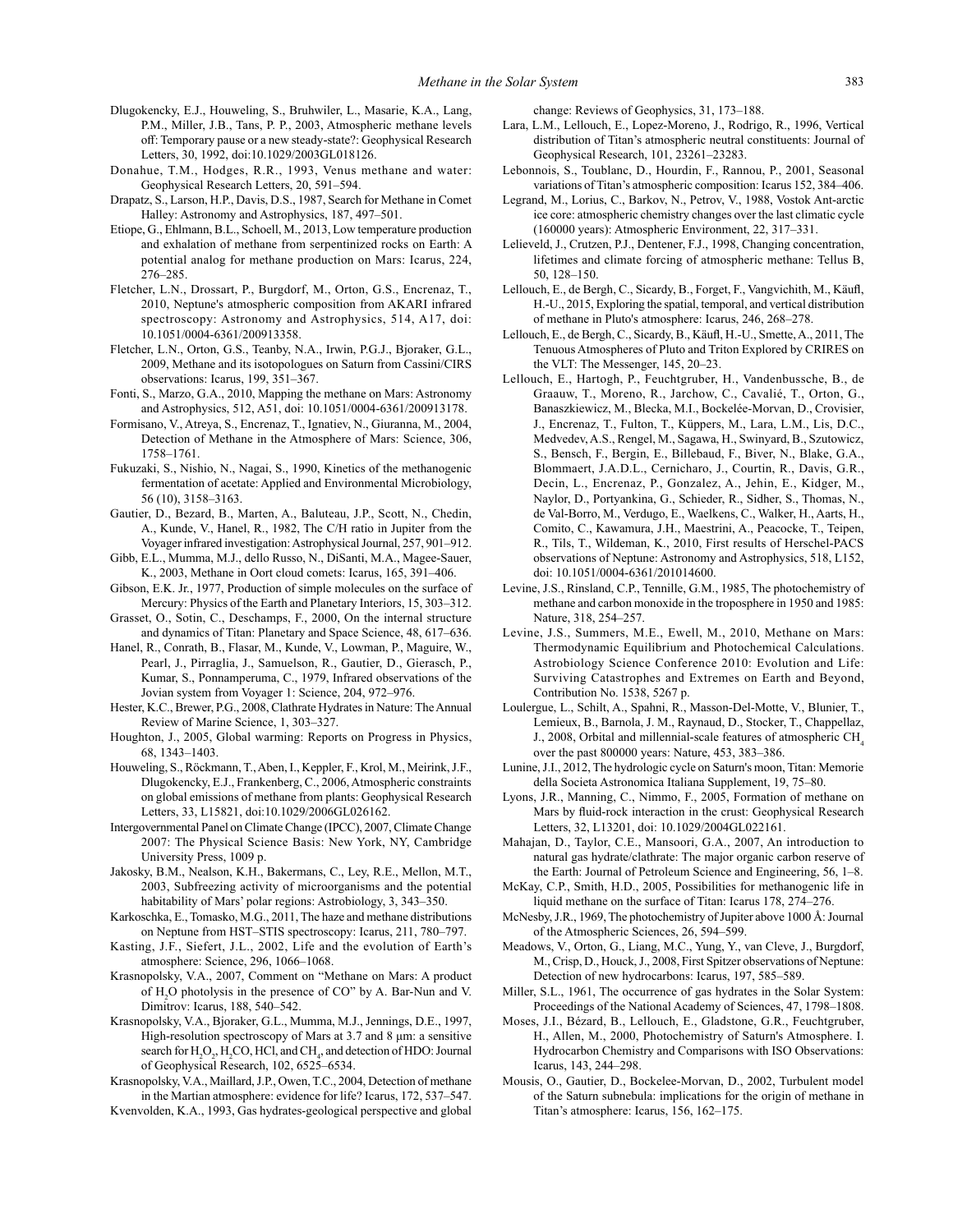- Dlugokencky, E.J., Houweling, S., Bruhwiler, L., Masarie, K.A., Lang, P.M., Miller, J.B., Tans, P. P., 2003, Atmospheric methane levels off: Temporary pause or a new steady-state?: Geophysical Research Letters, 30, 1992, doi:10.1029/2003GL018126.
- Donahue, T.M., Hodges, R.R., 1993, Venus methane and water: Geophysical Research Letters, 20, 591–594.
- Drapatz, S., Larson, H.P., Davis, D.S., 1987, Search for Methane in Comet Halley: Astronomy and Astrophysics, 187, 497–501.
- Etiope, G., Ehlmann, B.L., Schoell, M., 2013, Low temperature production and exhalation of methane from serpentinized rocks on Earth: A potential analog for methane production on Mars: Icarus, 224, 276–285.
- Fletcher, L.N., Drossart, P., Burgdorf, M., Orton, G.S., Encrenaz, T., 2010, Neptune's atmospheric composition from AKARI infrared spectroscopy: Astronomy and Astrophysics, 514, A17, doi: 10.1051/0004-6361/200913358.
- Fletcher, L.N., Orton, G.S., Teanby, N.A., Irwin, P.G.J., Bjoraker, G.L., 2009, Methane and its isotopologues on Saturn from Cassini/CIRS observations: Icarus, 199, 351–367.
- Fonti, S., Marzo, G.A., 2010, Mapping the methane on Mars: Astronomy and Astrophysics, 512, A51, doi: 10.1051/0004-6361/200913178.
- Formisano, V., Atreya, S., Encrenaz, T., Ignatiev, N., Giuranna, M., 2004, Detection of Methane in the Atmosphere of Mars: Science, 306, 1758–1761.
- Fukuzaki, S., Nishio, N., Nagai, S., 1990, Kinetics of the methanogenic fermentation of acetate: Applied and Environmental Microbiology, 56 (10), 3158–3163.
- Gautier, D., Bezard, B., Marten, A., Baluteau, J.P., Scott, N., Chedin, A., Kunde, V., Hanel, R., 1982, The C/H ratio in Jupiter from the Voyager infrared investigation: Astrophysical Journal, 257, 901–912.
- Gibb, E.L., Mumma, M.J., dello Russo, N., DiSanti, M.A., Magee-Sauer, K., 2003, Methane in Oort cloud comets: Icarus, 165, 391–406.
- Gibson, E.K. Jr., 1977, Production of simple molecules on the surface of Mercury: Physics of the Earth and Planetary Interiors, 15, 303–312.
- Grasset, O., Sotin, C., Deschamps, F., 2000, On the internal structure and dynamics of Titan: Planetary and Space Science, 48, 617–636.
- Hanel, R., Conrath, B., Flasar, M., Kunde, V., Lowman, P., Maguire, W., Pearl, J., Pirraglia, J., Samuelson, R., Gautier, D., Gierasch, P., Kumar, S., Ponnamperuma, C., 1979, Infrared observations of the Jovian system from Voyager 1: Science, 204, 972–976.
- Hester, K.C., Brewer, P.G., 2008, Clathrate Hydrates in Nature: The Annual Review of Marine Science, 1, 303–327.
- Houghton, J., 2005, Global warming: Reports on Progress in Physics, 68, 1343–1403.
- Houweling, S., Röckmann, T., Aben, I., Keppler, F., Krol, M., Meirink, J.F., Dlugokencky, E.J., Frankenberg, C., 2006, Atmospheric constraints on global emissions of methane from plants: Geophysical Research Letters, 33, L15821, doi:10.1029/2006GL026162.
- Intergovernmental Panel on Climate Change (IPCC), 2007, Climate Change 2007: The Physical Science Basis: New York, NY, Cambridge University Press, 1009 p.
- Jakosky, B.M., Nealson, K.H., Bakermans, C., Ley, R.E., Mellon, M.T., 2003, Subfreezing activity of microorganisms and the potential habitability of Mars' polar regions: Astrobiology, 3, 343–350.
- Karkoschka, E., Tomasko, M.G., 2011, The haze and methane distributions on Neptune from HST–STIS spectroscopy: Icarus, 211, 780–797.
- Kasting, J.F., Siefert, J.L., 2002, Life and the evolution of Earth's atmosphere: Science, 296, 1066–1068.
- Krasnopolsky, V.A., 2007, Comment on "Methane on Mars: A product of H2 O photolysis in the presence of CO" by A. Bar-Nun and V. Dimitrov: Icarus, 188, 540–542.
- Krasnopolsky, V.A., Bjoraker, G.L., Mumma, M.J., Jennings, D.E., 1997, High-resolution spectroscopy of Mars at 3.7 and 8 μm: a sensitive search for  $H_2O_2$ ,  $H_2CO$ , HCl, and CH<sub>4</sub>, and detection of HDO: Journal of Geophysical Research, 102, 6525–6534.
- Krasnopolsky, V.A., Maillard, J.P., Owen, T.C., 2004, Detection of methane in the Martian atmosphere: evidence for life? Icarus, 172, 537–547.
- Kvenvolden, K.A., 1993, Gas hydrates-geological perspective and global

change: Reviews of Geophysics, 31, 173–188.

- Lara, L.M., Lellouch, E., Lopez-Moreno, J., Rodrigo, R., 1996, Vertical distribution of Titan's atmospheric neutral constituents: Journal of Geophysical Research, 101, 23261–23283.
- Lebonnois, S., Toublanc, D., Hourdin, F., Rannou, P., 2001, Seasonal variations of Titan's atmospheric composition: Icarus 152, 384–406.
- Legrand, M., Lorius, C., Barkov, N., Petrov, V., 1988, Vostok Ant-arctic ice core: atmospheric chemistry changes over the last climatic cycle (160000 years): Atmospheric Environment, 22, 317–331.
- Lelieveld, J., Crutzen, P.J., Dentener, F.J., 1998, Changing concentration, lifetimes and climate forcing of atmospheric methane: Tellus B, 50, 128–150.
- Lellouch, E., de Bergh, C., Sicardy, B., Forget, F., Vangvichith, M., Käufl, H.-U., 2015, Exploring the spatial, temporal, and vertical distribution of methane in Pluto's atmosphere: Icarus, 246, 268–278.
- Lellouch, E., de Bergh, C., Sicardy, B., Käufl, H.-U., Smette, A., 2011, The Tenuous Atmospheres of Pluto and Triton Explored by CRIRES on the VLT: The Messenger, 145, 20–23.
- Lellouch, E., Hartogh, P., Feuchtgruber, H., Vandenbussche, B., de Graauw, T., Moreno, R., Jarchow, C., Cavalié, T., Orton, G., Banaszkiewicz, M., Blecka, M.I., Bockelée-Morvan, D., Crovisier, J., Encrenaz, T., Fulton, T., Küppers, M., Lara, L.M., Lis, D.C., Medvedev, A.S., Rengel, M., Sagawa, H., Swinyard, B., Szutowicz, S., Bensch, F., Bergin, E., Billebaud, F., Biver, N., Blake, G.A., Blommaert, J.A.D.L., Cernicharo, J., Courtin, R., Davis, G.R., Decin, L., Encrenaz, P., Gonzalez, A., Jehin, E., Kidger, M., Naylor, D., Portyankina, G., Schieder, R., Sidher, S., Thomas, N., de Val-Borro, M., Verdugo, E., Waelkens, C., Walker, H., Aarts, H., Comito, C., Kawamura, J.H., Maestrini, A., Peacocke, T., Teipen, R., Tils, T., Wildeman, K., 2010, First results of Herschel-PACS observations of Neptune: Astronomy and Astrophysics, 518, L152, doi: 10.1051/0004-6361/201014600.
- Levine, J.S., Rinsland, C.P., Tennille, G.M., 1985, The photochemistry of methane and carbon monoxide in the troposphere in 1950 and 1985: Nature, 318, 254–257.
- Levine, J.S., Summers, M.E., Ewell, M., 2010, Methane on Mars: Thermodynamic Equilibrium and Photochemical Calculations. Astrobiology Science Conference 2010: Evolution and Life: Surviving Catastrophes and Extremes on Earth and Beyond, Contribution No. 1538, 5267 p.
- Loulergue, L., Schilt, A., Spahni, R., Masson-Del-Motte, V., Blunier, T., Lemieux, B., Barnola, J. M., Raynaud, D., Stocker, T., Chappellaz, J., 2008, Orbital and millennial-scale features of atmospheric  $CH<sub>4</sub>$ over the past 800000 years: Nature, 453, 383–386.
- Lunine, J.I., 2012, The hydrologic cycle on Saturn's moon, Titan: Memorie della Societa Astronomica Italiana Supplement, 19, 75–80.
- Lyons, J.R., Manning, C., Nimmo, F., 2005, Formation of methane on Mars by fluid-rock interaction in the crust: Geophysical Research Letters, 32, L13201, doi: 10.1029/2004GL022161.
- Mahajan, D., Taylor, C.E., Mansoori, G.A., 2007, An introduction to natural gas hydrate/clathrate: The major organic carbon reserve of the Earth: Journal of Petroleum Science and Engineering, 56, 1–8.
- McKay, C.P., Smith, H.D., 2005, Possibilities for methanogenic life in liquid methane on the surface of Titan: Icarus 178, 274–276.
- McNesby, J.R., 1969, The photochemistry of Jupiter above 1000 Å: Journal of the Atmospheric Sciences, 26, 594–599.
- Meadows, V., Orton, G., Liang, M.C., Yung, Y., van Cleve, J., Burgdorf, M., Crisp, D., Houck, J., 2008, First Spitzer observations of Neptune: Detection of new hydrocarbons: Icarus, 197, 585–589.
- Miller, S.L., 1961, The occurrence of gas hydrates in the Solar System: Proceedings of the National Academy of Sciences, 47, 1798–1808.
- Moses, J.I., Bézard, B., Lellouch, E., Gladstone, G.R., Feuchtgruber, H., Allen, M., 2000, Photochemistry of Saturn's Atmosphere. I. Hydrocarbon Chemistry and Comparisons with ISO Observations: Icarus, 143, 244–298.
- Mousis, O., Gautier, D., Bockelee-Morvan, D., 2002, Turbulent model of the Saturn subnebula: implications for the origin of methane in Titan's atmosphere: Icarus, 156, 162–175.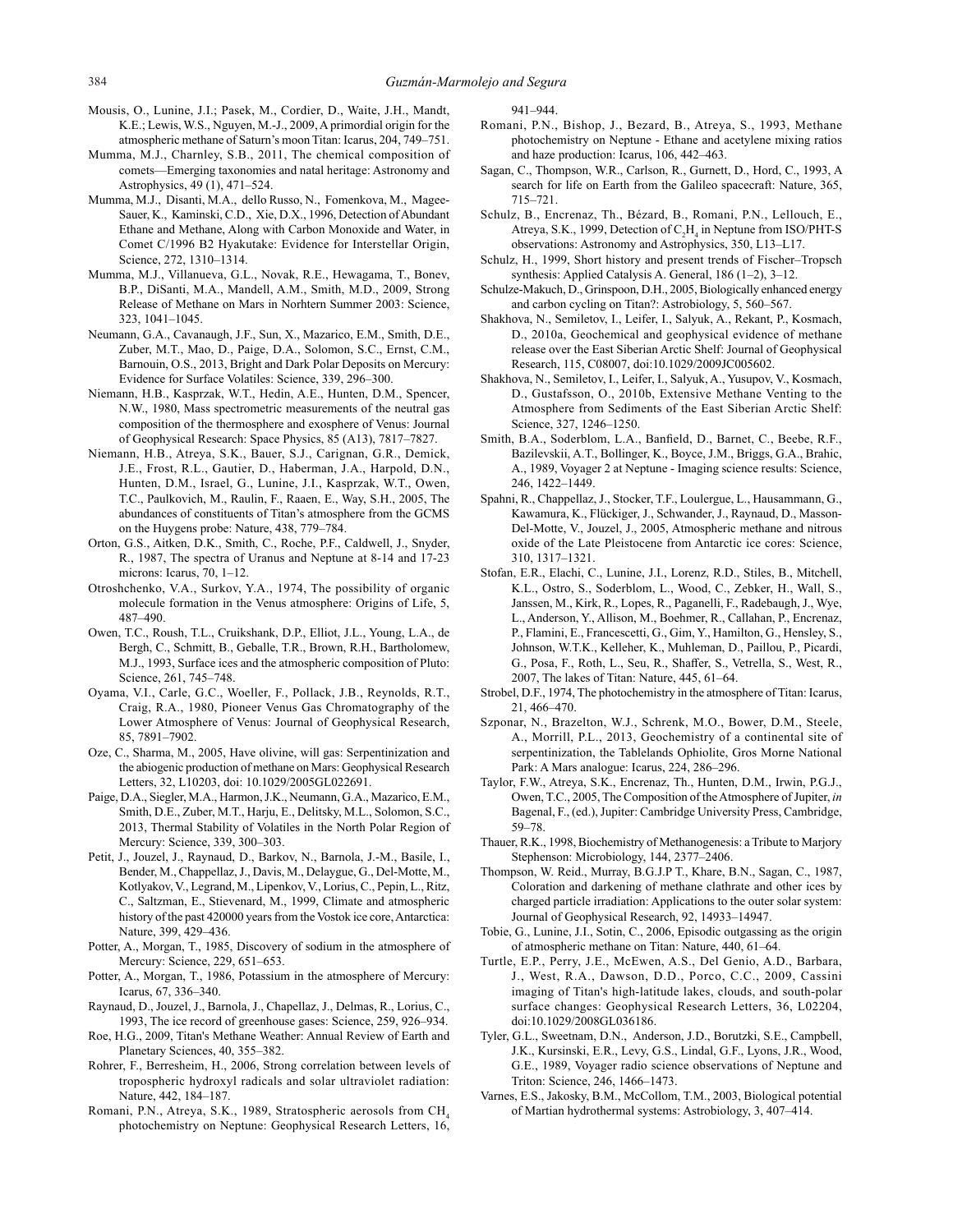- Mousis, O., Lunine, J.I.; Pasek, M., Cordier, D., Waite, J.H., Mandt, K.E.; Lewis, W.S., Nguyen, M.-J., 2009, A primordial origin for the atmospheric methane of Saturn's moon Titan: Icarus, 204, 749–751.
- Mumma, M.J., Charnley, S.B., 2011, The chemical composition of comets—Emerging taxonomies and natal heritage: Astronomy and Astrophysics, 49 (1), 471–524.
- Mumma, M.J., Disanti, M.A., dello Russo, N., Fomenkova, M., Magee-Sauer, K., Kaminski, C.D., Xie, D.X., 1996, Detection of Abundant Ethane and Methane, Along with Carbon Monoxide and Water, in Comet C/1996 B2 Hyakutake: Evidence for Interstellar Origin, Science, 272, 1310–1314.
- Mumma, M.J., Villanueva, G.L., Novak, R.E., Hewagama, T., Bonev, B.P., DiSanti, M.A., Mandell, A.M., Smith, M.D., 2009, Strong Release of Methane on Mars in Norhtern Summer 2003: Science, 323, 1041–1045.
- Neumann, G.A., Cavanaugh, J.F., Sun, X., Mazarico, E.M., Smith, D.E., Zuber, M.T., Mao, D., Paige, D.A., Solomon, S.C., Ernst, C.M., Barnouin, O.S., 2013, Bright and Dark Polar Deposits on Mercury: Evidence for Surface Volatiles: Science, 339, 296–300.
- Niemann, H.B., Kasprzak, W.T., Hedin, A.E., Hunten, D.M., Spencer, N.W., 1980, Mass spectrometric measurements of the neutral gas composition of the thermosphere and exosphere of Venus: Journal of Geophysical Research: Space Physics, 85 (A13), 7817–7827.
- Niemann, H.B., Atreya, S.K., Bauer, S.J., Carignan, G.R., Demick, J.E., Frost, R.L., Gautier, D., Haberman, J.A., Harpold, D.N., Hunten, D.M., Israel, G., Lunine, J.I., Kasprzak, W.T., Owen, T.C., Paulkovich, M., Raulin, F., Raaen, E., Way, S.H., 2005, The abundances of constituents of Titan's atmosphere from the GCMS on the Huygens probe: Nature, 438, 779–784.
- Orton, G.S., Aitken, D.K., Smith, C., Roche, P.F., Caldwell, J., Snyder, R., 1987, The spectra of Uranus and Neptune at 8-14 and 17-23 microns: Icarus, 70, 1–12.
- Otroshchenko, V.A., Surkov, Y.A., 1974, The possibility of organic molecule formation in the Venus atmosphere: Origins of Life, 5, 487–490.
- Owen, T.C., Roush, T.L., Cruikshank, D.P., Elliot, J.L., Young, L.A., de Bergh, C., Schmitt, B., Geballe, T.R., Brown, R.H., Bartholomew, M.J., 1993, Surface ices and the atmospheric composition of Pluto: Science, 261, 745–748.
- Oyama, V.I., Carle, G.C., Woeller, F., Pollack, J.B., Reynolds, R.T., Craig, R.A., 1980, Pioneer Venus Gas Chromatography of the Lower Atmosphere of Venus: Journal of Geophysical Research, 85, 7891–7902.
- Oze, C., Sharma, M., 2005, Have olivine, will gas: Serpentinization and the abiogenic production of methane on Mars: Geophysical Research Letters, 32, L10203, doi: 10.1029/2005GL022691.
- Paige, D.A., Siegler, M.A., Harmon, J.K., Neumann, G.A., Mazarico, E.M., Smith, D.E., Zuber, M.T., Harju, E., Delitsky, M.L., Solomon, S.C., 2013, Thermal Stability of Volatiles in the North Polar Region of Mercury: Science, 339, 300–303.
- Petit, J., Jouzel, J., Raynaud, D., Barkov, N., Barnola, J.-M., Basile, I., Bender, M., Chappellaz, J., Davis, M., Delaygue, G., Del-Motte, M., Kotlyakov, V., Legrand, M., Lipenkov, V., Lorius, C., Pepin, L., Ritz, C., Saltzman, E., Stievenard, M., 1999, Climate and atmospheric history of the past 420000 years from the Vostok ice core, Antarctica: Nature, 399, 429–436.
- Potter, A., Morgan, T., 1985, Discovery of sodium in the atmosphere of Mercury: Science, 229, 651–653.
- Potter, A., Morgan, T., 1986, Potassium in the atmosphere of Mercury: Icarus, 67, 336–340.
- Raynaud, D., Jouzel, J., Barnola, J., Chapellaz, J., Delmas, R., Lorius, C., 1993, The ice record of greenhouse gases: Science, 259, 926–934.
- Roe, H.G., 2009, Titan's Methane Weather: Annual Review of Earth and Planetary Sciences, 40, 355–382.
- Rohrer, F., Berresheim, H., 2006, Strong correlation between levels of tropospheric hydroxyl radicals and solar ultraviolet radiation: Nature, 442, 184–187.
- Romani, P.N., Atreya, S.K., 1989, Stratospheric aerosols from CH<sub>4</sub> photochemistry on Neptune: Geophysical Research Letters, 16,

941–944.

- Romani, P.N., Bishop, J., Bezard, B., Atreya, S., 1993, Methane photochemistry on Neptune - Ethane and acetylene mixing ratios and haze production: Icarus, 106, 442–463.
- Sagan, C., Thompson, W.R., Carlson, R., Gurnett, D., Hord, C., 1993, A search for life on Earth from the Galileo spacecraft: Nature, 365, 715–721.
- Schulz, B., Encrenaz, Th., Bézard, B., Romani, P.N., Lellouch, E., Atreya, S.K., 1999, Detection of  $C_2H_4$  in Neptune from ISO/PHT-S observations: Astronomy and Astrophysics, 350, L13–L17.
- Schulz, H., 1999, Short history and present trends of Fischer–Tropsch synthesis: Applied Catalysis A. General, 186 (1–2), 3–12.
- Schulze-Makuch, D., Grinspoon, D.H., 2005, Biologically enhanced energy and carbon cycling on Titan?: Astrobiology, 5, 560–567.
- Shakhova, N., Semiletov, I., Leifer, I., Salyuk, A., Rekant, P., Kosmach, D., 2010a, Geochemical and geophysical evidence of methane release over the East Siberian Arctic Shelf: Journal of Geophysical Research, 115, C08007, doi:10.1029/2009JC005602.
- Shakhova, N., Semiletov, I., Leifer, I., Salyuk, A., Yusupov, V., Kosmach, D., Gustafsson, O., 2010b, Extensive Methane Venting to the Atmosphere from Sediments of the East Siberian Arctic Shelf: Science, 327, 1246–1250.
- Smith, B.A., Soderblom, L.A., Banfield, D., Barnet, C., Beebe, R.F., Bazilevskii, A.T., Bollinger, K., Boyce, J.M., Briggs, G.A., Brahic, A., 1989, Voyager 2 at Neptune - Imaging science results: Science, 246, 1422–1449.
- Spahni, R., Chappellaz, J., Stocker, T.F., Loulergue, L., Hausammann, G., Kawamura, K., Flückiger, J., Schwander, J., Raynaud, D., Masson-Del-Motte, V., Jouzel, J., 2005, Atmospheric methane and nitrous oxide of the Late Pleistocene from Antarctic ice cores: Science, 310, 1317–1321.
- Stofan, E.R., Elachi, C., Lunine, J.I., Lorenz, R.D., Stiles, B., Mitchell, K.L., Ostro, S., Soderblom, L., Wood, C., Zebker, H., Wall, S., Janssen, M., Kirk, R., Lopes, R., Paganelli, F., Radebaugh, J., Wye, L., Anderson, Y., Allison, M., Boehmer, R., Callahan, P., Encrenaz, P., Flamini, E., Francescetti, G., Gim, Y., Hamilton, G., Hensley, S., Johnson, W.T.K., Kelleher, K., Muhleman, D., Paillou, P., Picardi, G., Posa, F., Roth, L., Seu, R., Shaffer, S., Vetrella, S., West, R., 2007, The lakes of Titan: Nature, 445, 61–64.
- Strobel, D.F., 1974, The photochemistry in the atmosphere of Titan: Icarus, 21, 466–470.
- Szponar, N., Brazelton, W.J., Schrenk, M.O., Bower, D.M., Steele, A., Morrill, P.L., 2013, Geochemistry of a continental site of serpentinization, the Tablelands Ophiolite, Gros Morne National Park: A Mars analogue: Icarus, 224, 286–296.
- Taylor, F.W., Atreya, S.K., Encrenaz, Th., Hunten, D.M., Irwin, P.G.J., Owen, T.C., 2005, The Composition of the Atmosphere of Jupiter, *in* Bagenal, F., (ed.), Jupiter: Cambridge University Press, Cambridge, 59–78.
- Thauer, R.K., 1998, Biochemistry of Methanogenesis: a Tribute to Marjory Stephenson: Microbiology, 144, 2377–2406.
- Thompson, W. Reid., Murray, B.G.J.P T., Khare, B.N., Sagan, C., 1987, Coloration and darkening of methane clathrate and other ices by charged particle irradiation: Applications to the outer solar system: Journal of Geophysical Research, 92, 14933–14947.
- Tobie, G., Lunine, J.I., Sotin, C., 2006, Episodic outgassing as the origin of atmospheric methane on Titan: Nature, 440, 61–64.
- Turtle, E.P., Perry, J.E., McEwen, A.S., Del Genio, A.D., Barbara, J., West, R.A., Dawson, D.D., Porco, C.C., 2009, Cassini imaging of Titan's high-latitude lakes, clouds, and south-polar surface changes: Geophysical Research Letters, 36, L02204, doi:10.1029/2008GL036186.
- Tyler, G.L., Sweetnam, D.N., Anderson, J.D., Borutzki, S.E., Campbell, J.K., Kursinski, E.R., Levy, G.S., Lindal, G.F., Lyons, J.R., Wood, G.E., 1989, Voyager radio science observations of Neptune and Triton: Science, 246, 1466–1473.
- Varnes, E.S., Jakosky, B.M., McCollom, T.M., 2003, Biological potential of Martian hydrothermal systems: Astrobiology, 3, 407–414.